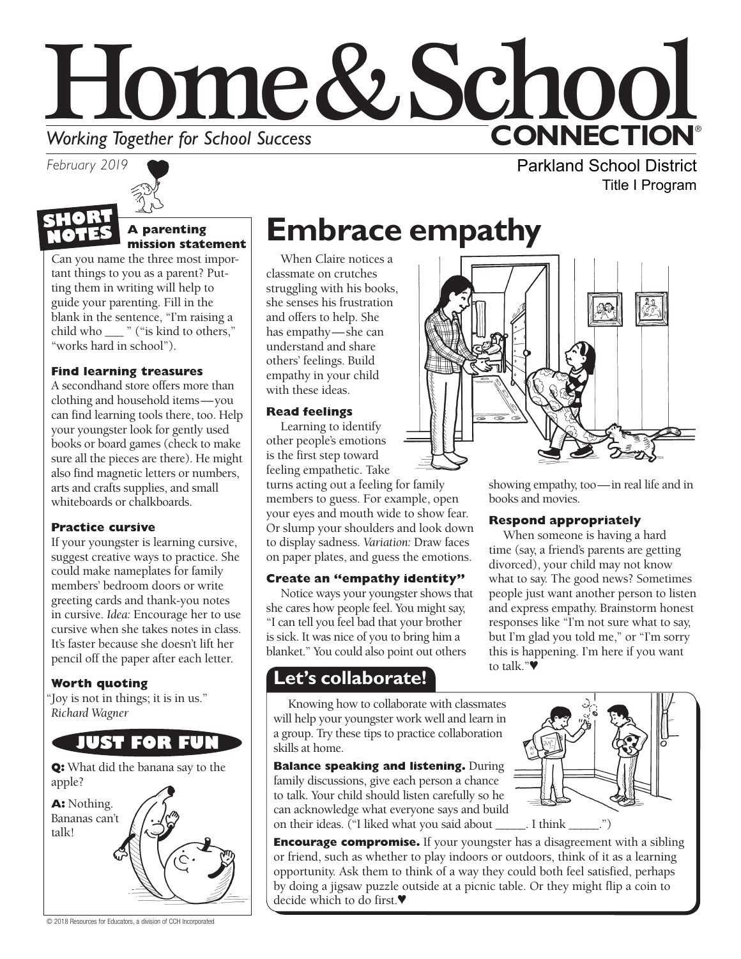# Home&School **CONNECTION® Working Together for School Success**<br>February 2019

*February 2019*



#### **A parenting mission statement**

Can you name the three most important things to you as a parent? Putting them in writing will help to guide your parenting. Fill in the blank in the sentence, "I'm raising a child who \_\_\_ " ("is kind to others," "works hard in school").

#### **Find learning treasures**

A secondhand store offers more than clothing and household items—you can find learning tools there, too. Help your youngster look for gently used books or board games (check to make sure all the pieces are there). He might also find magnetic letters or numbers, arts and crafts supplies, and small whiteboards or chalkboards.

#### **Practice cursive**

If your youngster is learning cursive, suggest creative ways to practice. She could make nameplates for family members' bedroom doors or write greeting cards and thank-you notes in cursive. *Idea:* Encourage her to use cursive when she takes notes in class. It's faster because she doesn't lift her pencil off the paper after each letter.

#### **Worth quoting**

"Joy is not in things; it is in us." *Richard Wagner*



**Q:** What did the banana say to the apple?



© 2018 Resources for Educators, a division of CCH Incorporated

# **Embrace empathy**

When Claire notices a classmate on crutches struggling with his books, she senses his frustration and offers to help. She has empathy—she can understand and share others' feelings. Build empathy in your child with these ideas.

#### **Read feelings**

Learning to identify other people's emotions is the first step toward feeling empathetic. Take

turns acting out a feeling for family members to guess. For example, open your eyes and mouth wide to show fear. Or slump your shoulders and look down to display sadness. *Variation:* Draw faces on paper plates, and guess the emotions.

#### **Create an "empathy identity"**

Notice ways your youngster shows that she cares how people feel. You might say, "I can tell you feel bad that your brother is sick. It was nice of you to bring him a blanket." You could also point out others

### **Let's collaborate!**

Knowing how to collaborate with classmates will help your youngster work well and learn in a group. Try these tips to practice collaboration skills at home.

**Balance speaking and listening.** During family discussions, give each person a chance to talk. Your child should listen carefully so he can acknowledge what everyone says and build on their ideas. ("I liked what you said about \_\_\_\_\_. I think \_\_\_\_\_.")

**Encourage compromise.** If your youngster has a disagreement with a sibling or friend, such as whether to play indoors or outdoors, think of it as a learning opportunity. Ask them to think of a way they could both feel satisfied, perhaps by doing a jigsaw puzzle outside at a picnic table. Or they might flip a coin to decide which to do first.♥



showing empathy, too—in real life and in books and movies.

Parkland School District

Title I Program

#### **Respond appropriately**

When someone is having a hard time (say, a friend's parents are getting divorced), your child may not know what to say. The good news? Sometimes people just want another person to listen and express empathy. Brainstorm honest responses like "I'm not sure what to say, but I'm glad you told me," or "I'm sorry this is happening. I'm here if you want to talk."♥